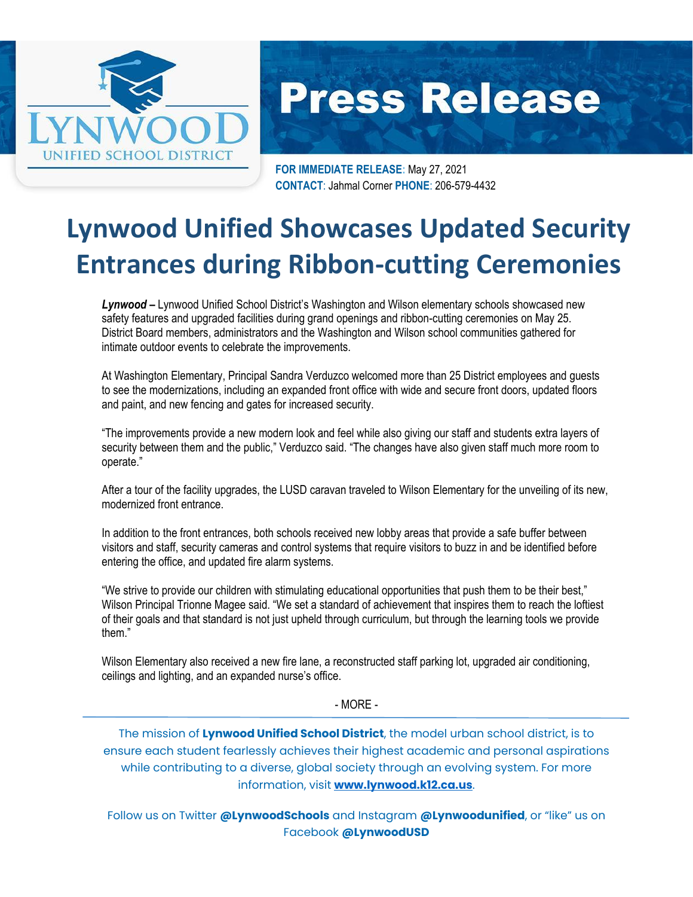

## **Press Release**

**FOR IMMEDIATE RELEASE:** May 27, 2021 **CONTACT**: Jahmal Corner **PHONE**: 206-579-4432

## **Lynwood Unified Showcases Updated Security Entrances during Ribbon-cutting Ceremonies**

*Lynwood –* Lynwood Unified School District's Washington and Wilson elementary schools showcased new safety features and upgraded facilities during grand openings and ribbon-cutting ceremonies on May 25. District Board members, administrators and the Washington and Wilson school communities gathered for intimate outdoor events to celebrate the improvements.

At Washington Elementary, Principal Sandra Verduzco welcomed more than 25 District employees and guests to see the modernizations, including an expanded front office with wide and secure front doors, updated floors and paint, and new fencing and gates for increased security.

"The improvements provide a new modern look and feel while also giving our staff and students extra layers of security between them and the public," Verduzco said. "The changes have also given staff much more room to operate."

After a tour of the facility upgrades, the LUSD caravan traveled to Wilson Elementary for the unveiling of its new, modernized front entrance.

In addition to the front entrances, both schools received new lobby areas that provide a safe buffer between visitors and staff, security cameras and control systems that require visitors to buzz in and be identified before entering the office, and updated fire alarm systems.

"We strive to provide our children with stimulating educational opportunities that push them to be their best," Wilson Principal Trionne Magee said. "We set a standard of achievement that inspires them to reach the loftiest of their goals and that standard is not just upheld through curriculum, but through the learning tools we provide them."

Wilson Elementary also received a new fire lane, a reconstructed staff parking lot, upgraded air conditioning, ceilings and lighting, and an expanded nurse's office.

- MORE -

The mission of **Lynwood Unified School District**, the model urban school district, is to ensure each student fearlessly achieves their highest academic and personal aspirations while contributing to a diverse, global society through an evolving system. For more information, visit **[www.lynwood.k12.ca.us](http://www.lynwood.k12.ca.us/)**.

Follow us on Twitter **@LynwoodSchools** and Instagram **@Lynwoodunified**, or "like" us on Facebook **@LynwoodUSD**